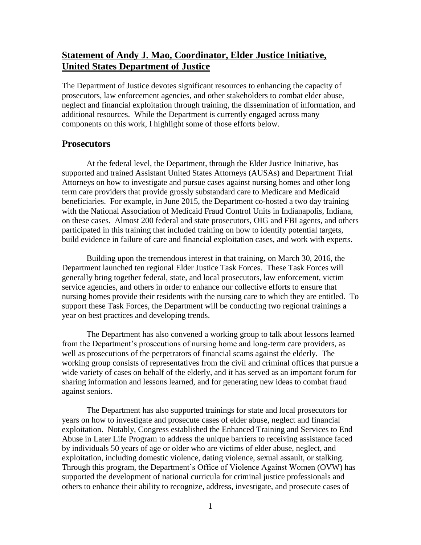# **Statement of Andy J. Mao, Coordinator, Elder Justice Initiative, United States Department of Justice**

The Department of Justice devotes significant resources to enhancing the capacity of prosecutors, law enforcement agencies, and other stakeholders to combat elder abuse, neglect and financial exploitation through training, the dissemination of information, and additional resources. While the Department is currently engaged across many components on this work, I highlight some of those efforts below.

### **Prosecutors**

At the federal level, the Department, through the Elder Justice Initiative, has supported and trained Assistant United States Attorneys (AUSAs) and Department Trial Attorneys on how to investigate and pursue cases against nursing homes and other long term care providers that provide grossly substandard care to Medicare and Medicaid beneficiaries. For example, in June 2015, the Department co-hosted a two day training with the National Association of Medicaid Fraud Control Units in Indianapolis, Indiana, on these cases. Almost 200 federal and state prosecutors, OIG and FBI agents, and others participated in this training that included training on how to identify potential targets, build evidence in failure of care and financial exploitation cases, and work with experts.

Building upon the tremendous interest in that training, on March 30, 2016, the Department launched ten regional Elder Justice Task Forces. These Task Forces will generally bring together federal, state, and local prosecutors, law enforcement, victim service agencies, and others in order to enhance our collective efforts to ensure that nursing homes provide their residents with the nursing care to which they are entitled. To support these Task Forces, the Department will be conducting two regional trainings a year on best practices and developing trends.

 The Department has also convened a working group to talk about lessons learned from the Department's prosecutions of nursing home and long-term care providers, as well as prosecutions of the perpetrators of financial scams against the elderly. The working group consists of representatives from the civil and criminal offices that pursue a wide variety of cases on behalf of the elderly, and it has served as an important forum for sharing information and lessons learned, and for generating new ideas to combat fraud against seniors.

The Department has also supported trainings for state and local prosecutors for years on how to investigate and prosecute cases of elder abuse, neglect and financial exploitation. Notably, Congress established the Enhanced Training and Services to End Abuse in Later Life Program to address the unique barriers to receiving assistance faced by individuals 50 years of age or older who are victims of elder abuse, neglect, and exploitation, including domestic violence, dating violence, sexual assault, or stalking. Through this program, the Department's Office of Violence Against Women (OVW) has supported the development of national curricula for criminal justice professionals and others to enhance their ability to recognize, address, investigate, and prosecute cases of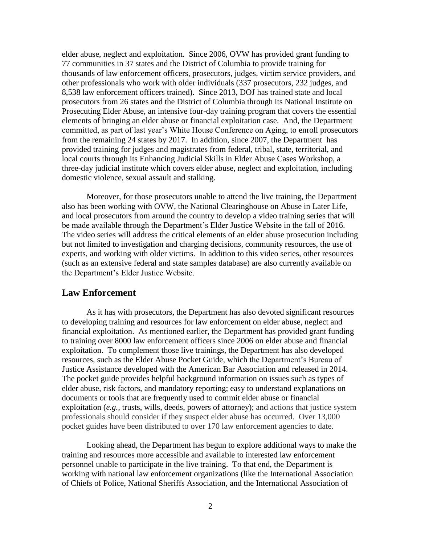elder abuse, neglect and exploitation. Since 2006, OVW has provided grant funding to 77 communities in 37 states and the District of Columbia to provide training for thousands of law enforcement officers, prosecutors, judges, victim service providers, and other professionals who work with older individuals (337 prosecutors, 232 judges, and 8,538 law enforcement officers trained). Since 2013, DOJ has trained state and local prosecutors from 26 states and the District of Columbia through its National Institute on Prosecuting Elder Abuse, an intensive four-day training program that covers the essential elements of bringing an elder abuse or financial exploitation case. And, the Department committed, as part of last year's White House Conference on Aging, to enroll prosecutors from the remaining 24 states by 2017. In addition, since 2007, the Department has provided training for judges and magistrates from federal, tribal, state, territorial, and local courts through its Enhancing Judicial Skills in Elder Abuse Cases Workshop, a three-day judicial institute which covers elder abuse, neglect and exploitation, including domestic violence, sexual assault and stalking.

Moreover, for those prosecutors unable to attend the live training, the Department also has been working with OVW, the National Clearinghouse on Abuse in Later Life, and local prosecutors from around the country to develop a video training series that will be made available through the Department's Elder Justice Website in the fall of 2016. The video series will address the critical elements of an elder abuse prosecution including but not limited to investigation and charging decisions, community resources, the use of experts, and working with older victims. In addition to this video series, other resources (such as an extensive federal and state samples database) are also currently available on the Department's Elder Justice Website.

## **Law Enforcement**

As it has with prosecutors, the Department has also devoted significant resources to developing training and resources for law enforcement on elder abuse, neglect and financial exploitation. As mentioned earlier, the Department has provided grant funding to training over 8000 law enforcement officers since 2006 on elder abuse and financial exploitation. To complement those live trainings, the Department has also developed resources, such as the Elder Abuse Pocket Guide, which the Department's Bureau of Justice Assistance developed with the American Bar Association and released in 2014. The pocket guide provides helpful background information on issues such as types of elder abuse, risk factors, and mandatory reporting; easy to understand explanations on documents or tools that are frequently used to commit elder abuse or financial exploitation (*e.g.,* trusts, wills, deeds, powers of attorney); and actions that justice system professionals should consider if they suspect elder abuse has occurred. Over 13,000 pocket guides have been distributed to over 170 law enforcement agencies to date.

Looking ahead, the Department has begun to explore additional ways to make the training and resources more accessible and available to interested law enforcement personnel unable to participate in the live training. To that end, the Department is working with national law enforcement organizations (like the International Association of Chiefs of Police, National Sheriffs Association, and the International Association of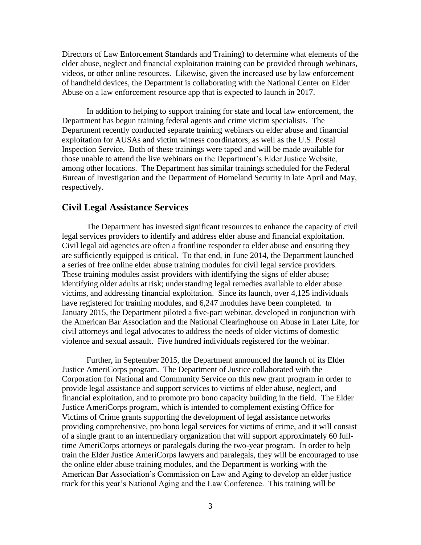Directors of Law Enforcement Standards and Training) to determine what elements of the elder abuse, neglect and financial exploitation training can be provided through webinars, videos, or other online resources. Likewise, given the increased use by law enforcement of handheld devices, the Department is collaborating with the National Center on Elder Abuse on a law enforcement resource app that is expected to launch in 2017.

In addition to helping to support training for state and local law enforcement, the Department has begun training federal agents and crime victim specialists. The Department recently conducted separate training webinars on elder abuse and financial exploitation for AUSAs and victim witness coordinators, as well as the U.S. Postal Inspection Service. Both of these trainings were taped and will be made available for those unable to attend the live webinars on the Department's Elder Justice Website, among other locations. The Department has similar trainings scheduled for the Federal Bureau of Investigation and the Department of Homeland Security in late April and May, respectively.

### **Civil Legal Assistance Services**

The Department has invested significant resources to enhance the capacity of civil legal services providers to identify and address elder abuse and financial exploitation. Civil legal aid agencies are often a frontline responder to elder abuse and ensuring they are sufficiently equipped is critical. To that end, in June 2014, the Department launched a series of free online elder abuse training modules for civil legal service providers. These training modules assist providers with identifying the signs of elder abuse; identifying older adults at risk; understanding legal remedies available to elder abuse victims, and addressing financial exploitation. Since its launch, over 4,125 individuals have registered for training modules, and 6,247 modules have been completed. In January 2015, the Department piloted a five-part webinar, developed in conjunction with the American Bar Association and the National Clearinghouse on Abuse in Later Life, for civil attorneys and legal advocates to address the needs of older victims of domestic violence and sexual assault. Five hundred individuals registered for the webinar.

Further, in September 2015, the Department announced the launch of its Elder Justice AmeriCorps program. The Department of Justice collaborated with the Corporation for National and Community Service on this new grant program in order to provide legal assistance and support services to victims of elder abuse, neglect, and financial exploitation, and to promote pro bono capacity building in the field. The Elder Justice AmeriCorps program, which is intended to complement existing Office for Victims of Crime grants supporting the development of legal assistance networks providing comprehensive, pro bono legal services for victims of crime, and it will consist of a single grant to an intermediary organization that will support approximately 60 fulltime AmeriCorps attorneys or paralegals during the two-year program. In order to help train the Elder Justice AmeriCorps lawyers and paralegals, they will be encouraged to use the online elder abuse training modules, and the Department is working with the American Bar Association's Commission on Law and Aging to develop an elder justice track for this year's National Aging and the Law Conference. This training will be